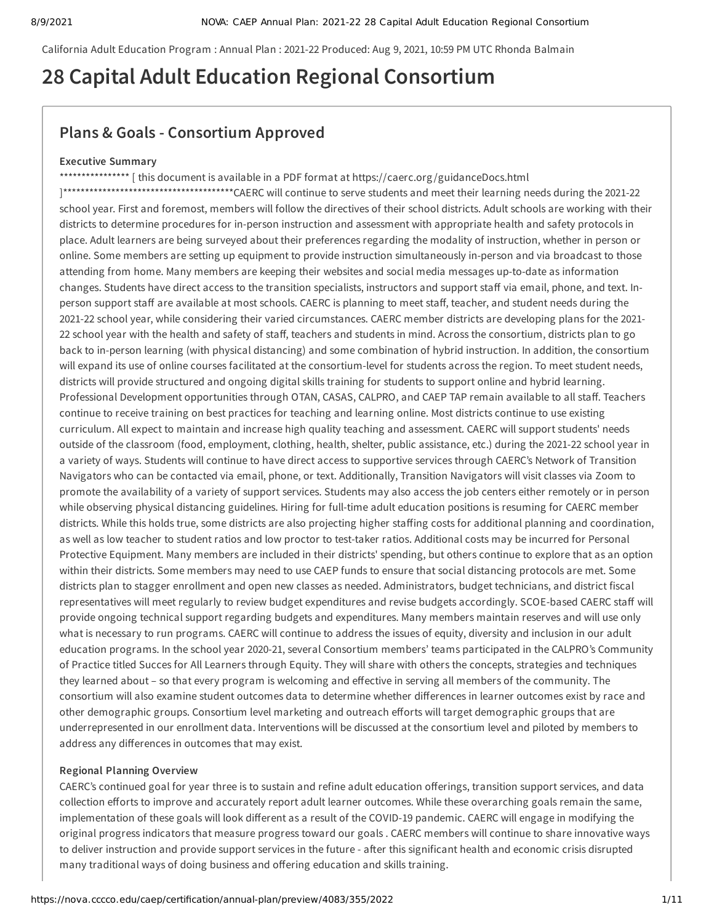California Adult Education Program : Annual Plan : 2021-22 Produced: Aug 9, 2021, 10:59 PM UTC Rhonda Balmain

# **28 Capital Adult Education Regional Consortium**

## **Plans & Goals - Consortium Approved**

#### **Executive Summary**

\*\*\*\*\*\*\*\*\*\*\*\*\*\*\*\*\*\* [this document is available in a PDF format at https://caerc.org/guidanceDocs.html ]\*\*\*\*\*\*\*\*\*\*\*\*\*\*\*\*\*\*\*\*\*\*\*\*\*\*\*\*\*\*\*\*\*\*\*\*\*\*\*CAERC will continue to serve students and meet their learning needs during the 2021-22 school year. First and foremost, members will follow the directives of their school districts. Adult schools are working with their districts to determine procedures for in-person instruction and assessment with appropriate health and safety protocols in place. Adult learners are being surveyed about their preferences regarding the modality of instruction, whether in person or online. Some members are setting up equipment to provide instruction simultaneously in-person and via broadcast to those attending from home. Many members are keeping their websites and social media messages up-to-date as information changes. Students have direct access to the transition specialists, instructors and support staff via email, phone, and text. Inperson support staff are available at most schools. CAERC is planning to meet staff, teacher, and student needs during the 2021-22 school year, while considering their varied circumstances. CAERC member districts are developing plans for the 2021- 22 school year with the health and safety of staff, teachers and students in mind. Across the consortium, districts plan to go back to in-person learning (with physical distancing) and some combination of hybrid instruction. In addition, the consortium will expand its use of online courses facilitated at the consortium-level for students across the region. To meet student needs, districts will provide structured and ongoing digital skills training for students to support online and hybrid learning. Professional Development opportunities through OTAN, CASAS, CALPRO, and CAEP TAP remain available to all staff. Teachers continue to receive training on best practices for teaching and learning online. Most districts continue to use existing curriculum. All expect to maintain and increase high quality teaching and assessment. CAERC will support students' needs outside of the classroom (food, employment, clothing, health, shelter, public assistance, etc.) during the 2021-22 school year in a variety of ways. Students will continue to have direct access to supportive services through CAERC's Network of Transition Navigators who can be contacted via email, phone, or text. Additionally, Transition Navigators will visit classes via Zoom to promote the availability of a variety of support services. Students may also access the job centers either remotely or in person while observing physical distancing guidelines. Hiring for full-time adult education positions is resuming for CAERC member districts. While this holds true, some districts are also projecting higher staffing costs for additional planning and coordination, as well as low teacher to student ratios and low proctor to test-taker ratios. Additional costs may be incurred for Personal Protective Equipment. Many members are included in their districts' spending, but others continue to explore that as an option within their districts. Some members may need to use CAEP funds to ensure that social distancing protocols are met. Some districts plan to stagger enrollment and open new classes as needed. Administrators, budget technicians, and district fiscal representatives will meet regularly to review budget expenditures and revise budgets accordingly. SCOE-based CAERC staff will provide ongoing technical support regarding budgets and expenditures. Many members maintain reserves and will use only what is necessary to run programs. CAERC will continue to address the issues of equity, diversity and inclusion in our adult education programs. In the school year 2020-21, several Consortium members' teams participated in the CALPRO's Community of Practice titled Succes for All Learners through Equity. They will share with others the concepts, strategies and techniques they learned about – so that every program is welcoming and effective in serving all members of the community. The consortium will also examine student outcomes data to determine whether differences in learner outcomes exist by race and other demographic groups. Consortium level marketing and outreach efforts will target demographic groups that are underrepresented in our enrollment data. Interventions will be discussed at the consortium level and piloted by members to address any differences in outcomes that may exist.

#### **Regional Planning Overview**

CAERC's continued goal for year three is to sustain and refine adult education offerings, transition support services, and data collection efforts to improve and accurately report adult learner outcomes. While these overarching goals remain the same, implementation of these goals will look different as a result of the COVID-19 pandemic. CAERC will engage in modifying the original progress indicators that measure progress toward our goals . CAERC members will continue to share innovative ways to deliver instruction and provide support services in the future - after this significant health and economic crisis disrupted many traditional ways of doing business and offering education and skills training.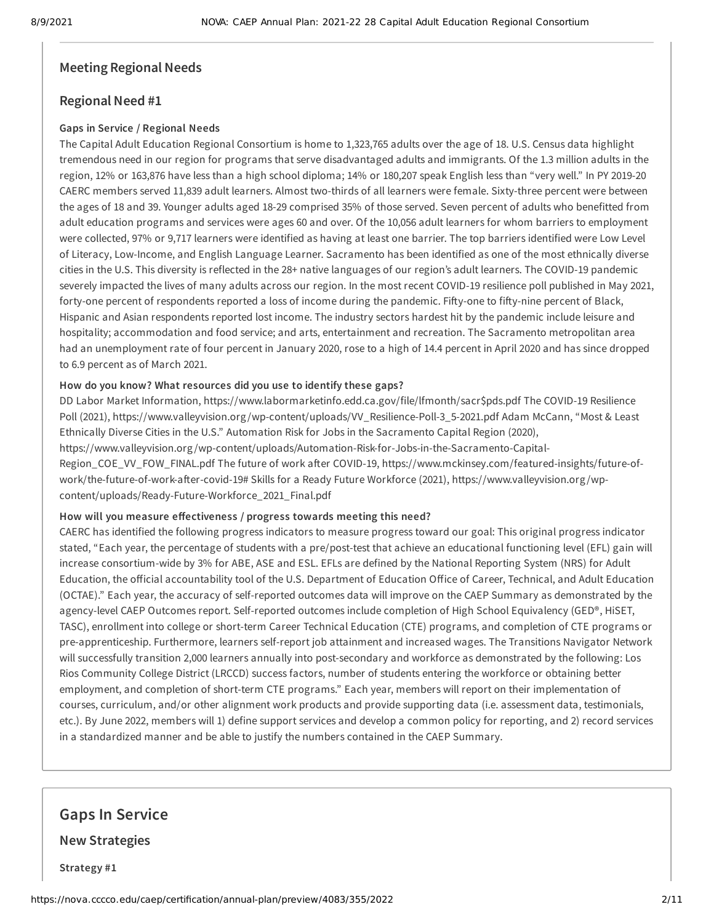## **Meeting Regional Needs**

## **Regional Need #1**

### **Gaps in Service / Regional Needs**

The Capital Adult Education Regional Consortium is home to 1,323,765 adults over the age of 18. U.S. Census data highlight tremendous need in our region for programs that serve disadvantaged adults and immigrants. Of the 1.3 million adults in the region, 12% or 163,876 have less than a high school diploma; 14% or 180,207 speak English less than "very well." In PY 2019-20 CAERC members served 11,839 adult learners. Almost two-thirds of all learners were female. Sixty-three percent were between the ages of 18 and 39. Younger adults aged 18-29 comprised 35% of those served. Seven percent of adults who benefitted from adult education programs and services were ages 60 and over. Of the 10,056 adult learners for whom barriers to employment were collected, 97% or 9,717 learners were identified as having at least one barrier. The top barriers identified were Low Level of Literacy, Low-Income, and English Language Learner. Sacramento has been identified as one of the most ethnically diverse cities in the U.S. This diversity is reflected in the 28+ native languages of our region's adult learners. The COVID-19 pandemic severely impacted the lives of many adults across our region. In the most recent COVID-19 resilience poll published in May 2021, forty-one percent of respondents reported a loss of income during the pandemic. Fifty-one to fifty-nine percent of Black, Hispanic and Asian respondents reported lost income. The industry sectors hardest hit by the pandemic include leisure and hospitality; accommodation and food service; and arts, entertainment and recreation. The Sacramento metropolitan area had an unemployment rate of four percent in January 2020, rose to a high of 14.4 percent in April 2020 and has since dropped to 6.9 percent as of March 2021.

## **How do you know? What resources did you use to identify these gaps?**

DD Labor Market Information, https://www.labormarketinfo.edd.ca.gov/file/lfmonth/sacr\$pds.pdf The COVID-19 Resilience Poll (2021), https://www.valleyvision.org /wp-content/uploads/VV\_Resilience-Poll-3\_5-2021.pdf Adam McCann, "Most & Least Ethnically Diverse Cities in the U.S." Automation Risk for Jobs in the Sacramento Capital Region (2020), https://www.valleyvision.org /wp-content/uploads/Automation-Risk-for-Jobs-in-the-Sacramento-Capital-Region\_COE\_VV\_FOW\_FINAL.pdf The future of work after COVID-19, https://www.mckinsey.com/featured-insights/future-ofwork/the-future-of-work-after-covid-19# Skills for a Ready Future Workforce (2021), https://www.valleyvision.org /wpcontent/uploads/Ready-Future-Workforce\_2021\_Final.pdf

#### **How will you measure effectiveness / progress towards meeting this need?**

CAERC has identified the following progress indicators to measure progress toward our goal: This original progress indicator stated, "Each year, the percentage of students with a pre/post-test that achieve an educational functioning level (EFL) gain will increase consortium-wide by 3% for ABE, ASE and ESL. EFLs are defined by the National Reporting System (NRS) for Adult Education, the official accountability tool of the U.S. Department of Education Office of Career, Technical, and Adult Education (OCTAE)." Each year, the accuracy of self-reported outcomes data will improve on the CAEP Summary as demonstrated by the agency-level CAEP Outcomes report. Self-reported outcomes include completion of High School Equivalency (GED®, HiSET, TASC), enrollment into college or short-term Career Technical Education (CTE) programs, and completion of CTE programs or pre-apprenticeship. Furthermore, learners self-report job attainment and increased wages. The Transitions Navigator Network will successfully transition 2,000 learners annually into post-secondary and workforce as demonstrated by the following: Los Rios Community College District (LRCCD) success factors, number of students entering the workforce or obtaining better employment, and completion of short-term CTE programs." Each year, members will report on their implementation of courses, curriculum, and/or other alignment work products and provide supporting data (i.e. assessment data, testimonials, etc.). By June 2022, members will 1) define support services and develop a common policy for reporting, and 2) record services in a standardized manner and be able to justify the numbers contained in the CAEP Summary.

**Gaps In Service New Strategies**

**Strategy #1**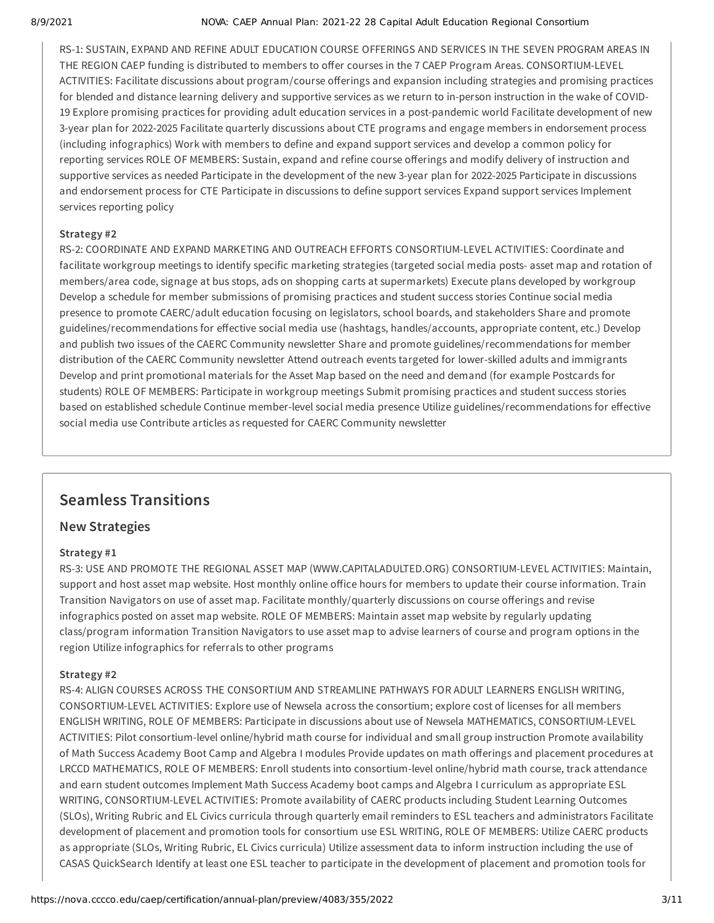#### 8/9/2021 NOVA: CAEP Annual Plan: 2021-22 28 Capital Adult Education Regional Consortium

RS-1: SUSTAIN, EXPAND AND REFINE ADULT EDUCATION COURSE OFFERINGS AND SERVICES IN THE SEVEN PROGRAM AREAS IN THE REGION CAEP funding is distributed to members to offer courses in the 7 CAEP Program Areas. CONSORTIUM-LEVEL ACTIVITIES: Facilitate discussions about program/course offerings and expansion including strategies and promising practices for blended and distance learning delivery and supportive services as we return to in-person instruction in the wake of COVID-19 Explore promising practices for providing adult education services in a post-pandemic world Facilitate development of new 3-year plan for 2022-2025 Facilitate quarterly discussions about CTE programs and engage members in endorsement process (including infographics) Work with members to define and expand support services and develop a common policy for reporting services ROLE OF MEMBERS: Sustain, expand and refine course offerings and modify delivery of instruction and supportive services as needed Participate in the development of the new 3-year plan for 2022-2025 Participate in discussions and endorsement process for CTE Participate in discussions to define support services Expand support services Implement services reporting policy

#### **Strategy #2**

RS-2: COORDINATE AND EXPAND MARKETING AND OUTREACH EFFORTS CONSORTIUM-LEVEL ACTIVITIES: Coordinate and facilitate workgroup meetings to identify specific marketing strategies (targeted social media posts- asset map and rotation of members/area code, signage at bus stops, ads on shopping carts at supermarkets) Execute plans developed by workgroup Develop a schedule for member submissions of promising practices and student success stories Continue social media presence to promote CAERC/adult education focusing on legislators, school boards, and stakeholders Share and promote guidelines/recommendations for effective social media use (hashtags, handles/accounts, appropriate content, etc.) Develop and publish two issues of the CAERC Community newsletter Share and promote guidelines/recommendations for member distribution of the CAERC Community newsletter Attend outreach events targeted for lower-skilled adults and immigrants Develop and print promotional materials for the Asset Map based on the need and demand (for example Postcards for students) ROLE OF MEMBERS: Participate in workgroup meetings Submit promising practices and student success stories based on established schedule Continue member-level social media presence Utilize guidelines/recommendations for effective social media use Contribute articles as requested for CAERC Community newsletter

## **Seamless Transitions**

## **New Strategies**

#### **Strategy #1**

RS-3: USE AND PROMOTE THE REGIONAL ASSET MAP (WWW.CAPITALADULTED.ORG) CONSORTIUM-LEVEL ACTIVITIES: Maintain, support and host asset map website. Host monthly online office hours for members to update their course information. Train Transition Navigators on use of asset map. Facilitate monthly/quarterly discussions on course offerings and revise infographics posted on asset map website. ROLE OF MEMBERS: Maintain asset map website by regularly updating class/program information Transition Navigators to use asset map to advise learners of course and program options in the region Utilize infographics for referrals to other programs

#### **Strategy #2**

RS-4: ALIGN COURSES ACROSS THE CONSORTIUM AND STREAMLINE PATHWAYS FOR ADULT LEARNERS ENGLISH WRITING, CONSORTIUM-LEVEL ACTIVITIES: Explore use of Newsela across the consortium; explore cost of licenses for all members ENGLISH WRITING, ROLE OF MEMBERS: Participate in discussions about use of Newsela MATHEMATICS, CONSORTIUM-LEVEL ACTIVITIES: Pilot consortium-level online/hybrid math course for individual and small group instruction Promote availability of Math Success Academy Boot Camp and Algebra I modules Provide updates on math offerings and placement procedures at LRCCD MATHEMATICS, ROLE OF MEMBERS: Enroll students into consortium-level online/hybrid math course, track attendance and earn student outcomes Implement Math Success Academy boot camps and Algebra I curriculum as appropriate ESL WRITING, CONSORTIUM-LEVEL ACTIVITIES: Promote availability of CAERC products including Student Learning Outcomes (SLOs), Writing Rubric and EL Civics curricula through quarterly email reminders to ESL teachers and administrators Facilitate development of placement and promotion tools for consortium use ESL WRITING, ROLE OF MEMBERS: Utilize CAERC products as appropriate (SLOs, Writing Rubric, EL Civics curricula) Utilize assessment data to inform instruction including the use of CASAS QuickSearch Identify at least one ESL teacher to participate in the development of placement and promotion tools for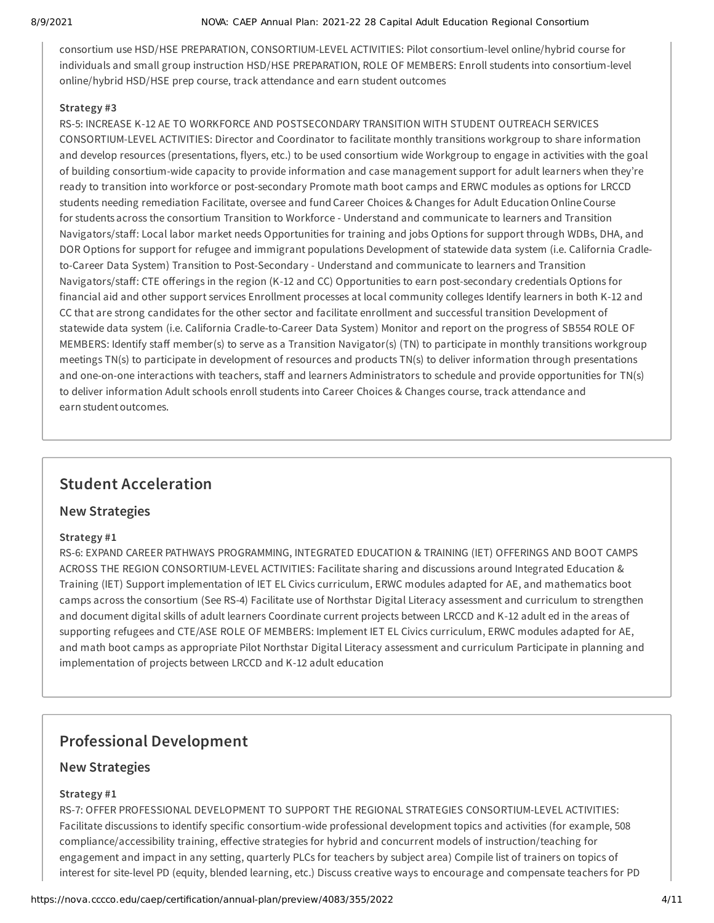#### 8/9/2021 NOVA: CAEP Annual Plan: 2021-22 28 Capital Adult Education Regional Consortium

consortium use HSD/HSE PREPARATION, CONSORTIUM-LEVEL ACTIVITIES: Pilot consortium-level online/hybrid course for individuals and small group instruction HSD/HSE PREPARATION, ROLE OF MEMBERS: Enroll students into consortium-level online/hybrid HSD/HSE prep course, track attendance and earn student outcomes

#### **Strategy #3**

RS-5: INCREASE K-12 AE TO WORKFORCE AND POSTSECONDARY TRANSITION WITH STUDENT OUTREACH SERVICES CONSORTIUM-LEVEL ACTIVITIES: Director and Coordinator to facilitate monthly transitions workgroup to share information and develop resources (presentations, flyers, etc.) to be used consortium wide Workgroup to engage in activities with the goal of building consortium-wide capacity to provide information and case management support for adult learners when they're ready to transition into workforce or post-secondary Promote math boot camps and ERWC modules as options for LRCCD students needing remediation Facilitate, oversee and fund Career Choices & Changes for Adult Education Online Course for students across the consortium Transition to Workforce - Understand and communicate to learners and Transition Navigators/staff: Local labor market needs Opportunities for training and jobs Options for support through WDBs, DHA, and DOR Options for support for refugee and immigrant populations Development of statewide data system (i.e. California Cradleto-Career Data System) Transition to Post-Secondary - Understand and communicate to learners and Transition Navigators/staff: CTE offerings in the region (K-12 and CC) Opportunities to earn post-secondary credentials Options for financial aid and other support services Enrollment processes at local community colleges Identify learners in both K-12 and CC that are strong candidates for the other sector and facilitate enrollment and successful transition Development of statewide data system (i.e. California Cradle-to-Career Data System) Monitor and report on the progress of SB554 ROLE OF MEMBERS: Identify staff member(s) to serve as a Transition Navigator(s) (TN) to participate in monthly transitions workgroup meetings TN(s) to participate in development of resources and products TN(s) to deliver information through presentations and one-on-one interactions with teachers, staff and learners Administrators to schedule and provide opportunities for TN(s) to deliver information Adult schools enroll students into Career Choices & Changes course, track attendance and earn student outcomes.

## **Student Acceleration**

## **New Strategies**

#### **Strategy #1**

RS-6: EXPAND CAREER PATHWAYS PROGRAMMING, INTEGRATED EDUCATION & TRAINING (IET) OFFERINGS AND BOOT CAMPS ACROSS THE REGION CONSORTIUM-LEVEL ACTIVITIES: Facilitate sharing and discussions around Integrated Education & Training (IET) Support implementation of IET EL Civics curriculum, ERWC modules adapted for AE, and mathematics boot camps across the consortium (See RS-4) Facilitate use of Northstar Digital Literacy assessment and curriculum to strengthen and document digital skills of adult learners Coordinate current projects between LRCCD and K-12 adult ed in the areas of supporting refugees and CTE/ASE ROLE OF MEMBERS: Implement IET EL Civics curriculum, ERWC modules adapted for AE, and math boot camps as appropriate Pilot Northstar Digital Literacy assessment and curriculum Participate in planning and implementation of projects between LRCCD and K-12 adult education

## **Professional Development**

#### **New Strategies**

### **Strategy #1**

RS-7: OFFER PROFESSIONAL DEVELOPMENT TO SUPPORT THE REGIONAL STRATEGIES CONSORTIUM-LEVEL ACTIVITIES: Facilitate discussions to identify specific consortium-wide professional development topics and activities (for example, 508 compliance/accessibility training, effective strategies for hybrid and concurrent models of instruction/teaching for engagement and impact in any setting, quarterly PLCs for teachers by subject area) Compile list of trainers on topics of interest for site-level PD (equity, blended learning, etc.) Discuss creative ways to encourage and compensate teachers for PD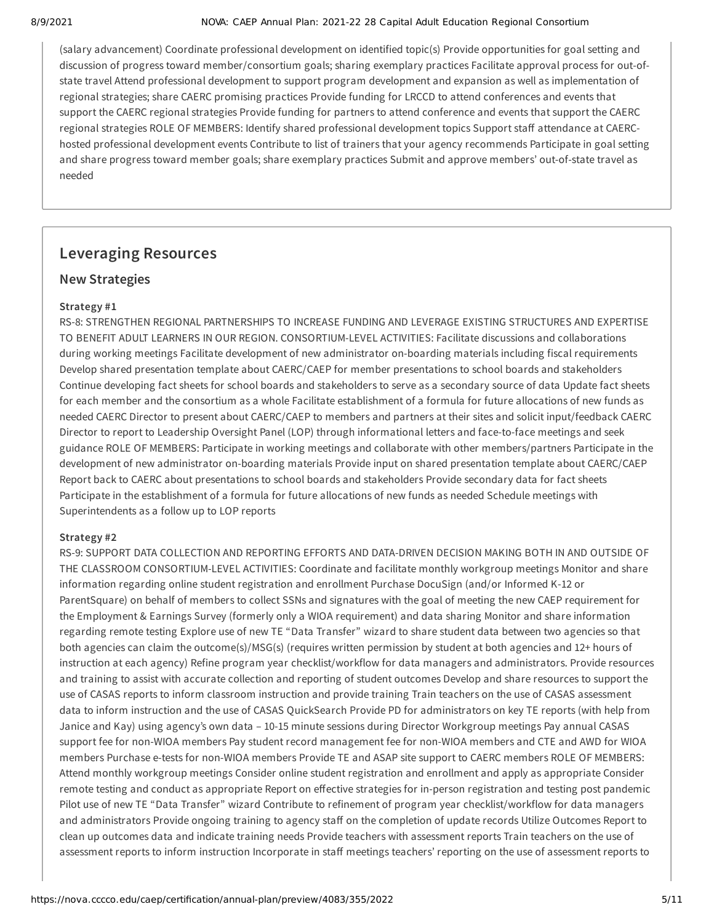#### 8/9/2021 NOVA: CAEP Annual Plan: 2021-22 28 Capital Adult Education Regional Consortium

(salary advancement) Coordinate professional development on identified topic(s) Provide opportunities for goal setting and discussion of progress toward member/consortium goals; sharing exemplary practices Facilitate approval process for out-ofstate travel Attend professional development to support program development and expansion as well as implementation of regional strategies; share CAERC promising practices Provide funding for LRCCD to attend conferences and events that support the CAERC regional strategies Provide funding for partners to attend conference and events that support the CAERC regional strategies ROLE OF MEMBERS: Identify shared professional development topics Support staff attendance at CAERChosted professional development events Contribute to list of trainers that your agency recommends Participate in goal setting and share progress toward member goals; share exemplary practices Submit and approve members' out-of-state travel as needed

## **Leveraging Resources**

## **New Strategies**

### **Strategy #1**

RS-8: STRENGTHEN REGIONAL PARTNERSHIPS TO INCREASE FUNDING AND LEVERAGE EXISTING STRUCTURES AND EXPERTISE TO BENEFIT ADULT LEARNERS IN OUR REGION. CONSORTIUM-LEVEL ACTIVITIES: Facilitate discussions and collaborations during working meetings Facilitate development of new administrator on-boarding materials including fiscal requirements Develop shared presentation template about CAERC/CAEP for member presentations to school boards and stakeholders Continue developing fact sheets for school boards and stakeholders to serve as a secondary source of data Update fact sheets for each member and the consortium as a whole Facilitate establishment of a formula for future allocations of new funds as needed CAERC Director to present about CAERC/CAEP to members and partners at their sites and solicit input/feedback CAERC Director to report to Leadership Oversight Panel (LOP) through informational letters and face-to-face meetings and seek guidance ROLE OF MEMBERS: Participate in working meetings and collaborate with other members/partners Participate in the development of new administrator on-boarding materials Provide input on shared presentation template about CAERC/CAEP Report back to CAERC about presentations to school boards and stakeholders Provide secondary data for fact sheets Participate in the establishment of a formula for future allocations of new funds as needed Schedule meetings with Superintendents as a follow up to LOP reports

#### **Strategy #2**

RS-9: SUPPORT DATA COLLECTION AND REPORTING EFFORTS AND DATA-DRIVEN DECISION MAKING BOTH IN AND OUTSIDE OF THE CLASSROOM CONSORTIUM-LEVEL ACTIVITIES: Coordinate and facilitate monthly workgroup meetings Monitor and share information regarding online student registration and enrollment Purchase DocuSign (and/or Informed K-12 or ParentSquare) on behalf of members to collect SSNs and signatures with the goal of meeting the new CAEP requirement for the Employment & Earnings Survey (formerly only a WIOA requirement) and data sharing Monitor and share information regarding remote testing Explore use of new TE "Data Transfer" wizard to share student data between two agencies so that both agencies can claim the outcome(s)/MSG(s) (requires written permission by student at both agencies and 12+ hours of instruction at each agency) Refine program year checklist/workflow for data managers and administrators. Provide resources and training to assist with accurate collection and reporting of student outcomes Develop and share resources to support the use of CASAS reports to inform classroom instruction and provide training Train teachers on the use of CASAS assessment data to inform instruction and the use of CASAS QuickSearch Provide PD for administrators on key TE reports (with help from Janice and Kay) using agency's own data – 10-15 minute sessions during Director Workgroup meetings Pay annual CASAS support fee for non-WIOA members Pay student record management fee for non-WIOA members and CTE and AWD for WIOA members Purchase e-tests for non-WIOA members Provide TE and ASAP site support to CAERC members ROLE OF MEMBERS: Attend monthly workgroup meetings Consider online student registration and enrollment and apply as appropriate Consider remote testing and conduct as appropriate Report on effective strategies for in-person registration and testing post pandemic Pilot use of new TE "Data Transfer" wizard Contribute to refinement of program year checklist/workflow for data managers and administrators Provide ongoing training to agency staff on the completion of update records Utilize Outcomes Report to clean up outcomes data and indicate training needs Provide teachers with assessment reports Train teachers on the use of assessment reports to inform instruction Incorporate in staff meetings teachers' reporting on the use of assessment reports to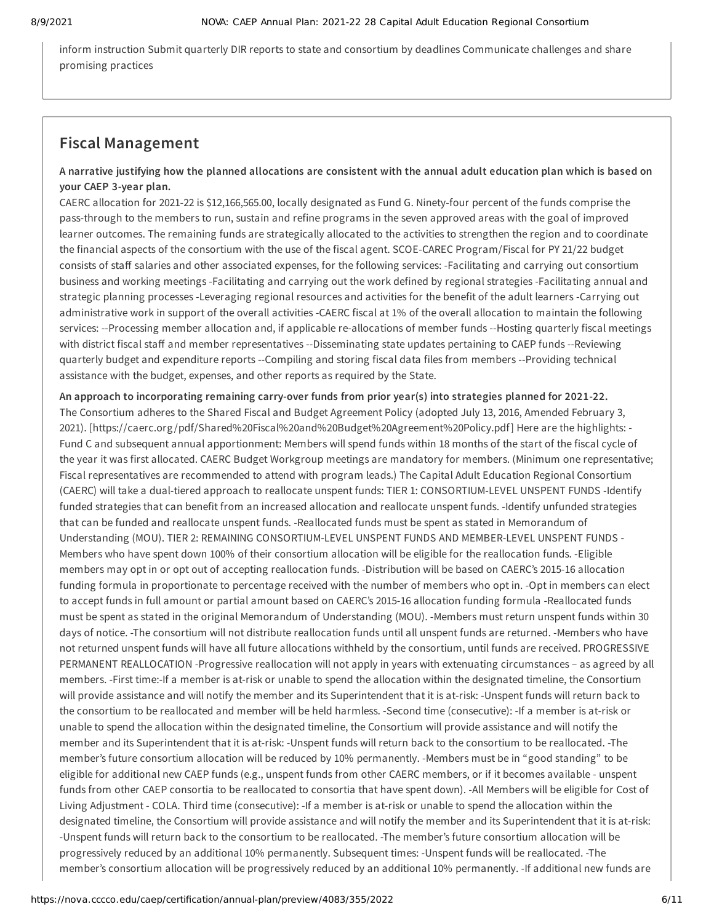inform instruction Submit quarterly DIR reports to state and consortium by deadlines Communicate challenges and share promising practices

## **Fiscal Management**

## A narrative justifying how the planned allocations are consistent with the annual adult education plan which is based on **your CAEP 3-year plan.**

CAERC allocation for 2021-22 is \$12,166,565.00, locally designated as Fund G. Ninety-four percent of the funds comprise the pass-through to the members to run, sustain and refine programs in the seven approved areas with the goal of improved learner outcomes. The remaining funds are strategically allocated to the activities to strengthen the region and to coordinate the financial aspects of the consortium with the use of the fiscal agent. SCOE-CAREC Program/Fiscal for PY 21/22 budget consists of staff salaries and other associated expenses, for the following services: -Facilitating and carrying out consortium business and working meetings -Facilitating and carrying out the work defined by regional strategies -Facilitating annual and strategic planning processes -Leveraging regional resources and activities for the benefit of the adult learners -Carrying out administrative work in support of the overall activities -CAERC fiscal at 1% of the overall allocation to maintain the following services: --Processing member allocation and, if applicable re-allocations of member funds --Hosting quarterly fiscal meetings with district fiscal staff and member representatives --Disseminating state updates pertaining to CAEP funds --Reviewing quarterly budget and expenditure reports --Compiling and storing fiscal data files from members --Providing technical assistance with the budget, expenses, and other reports as required by the State.

**An approach to incorporating remaining carry-over funds from prior year(s) into strategies planned for 2021-22.** The Consortium adheres to the Shared Fiscal and Budget Agreement Policy (adopted July 13, 2016, Amended February 3, 2021). [https://caerc.org /pdf/Shared%20Fiscal%20and%20Budget%20Agreement%20Policy.pdf] Here are the highlights: - Fund C and subsequent annual apportionment: Members will spend funds within 18 months of the start of the fiscal cycle of the year it was first allocated. CAERC Budget Workgroup meetings are mandatory for members. (Minimum one representative; Fiscal representatives are recommended to attend with program leads.) The Capital Adult Education Regional Consortium (CAERC) will take a dual-tiered approach to reallocate unspent funds: TIER 1: CONSORTIUM-LEVEL UNSPENT FUNDS -Identify funded strategies that can benefit from an increased allocation and reallocate unspent funds. -Identify unfunded strategies that can be funded and reallocate unspent funds. -Reallocated funds must be spent as stated in Memorandum of Understanding (MOU). TIER 2: REMAINING CONSORTIUM-LEVEL UNSPENT FUNDS AND MEMBER-LEVEL UNSPENT FUNDS - Members who have spent down 100% of their consortium allocation will be eligible for the reallocation funds. -Eligible members may opt in or opt out of accepting reallocation funds. -Distribution will be based on CAERC's 2015-16 allocation funding formula in proportionate to percentage received with the number of members who opt in. -Opt in members can elect to accept funds in full amount or partial amount based on CAERC's 2015-16 allocation funding formula -Reallocated funds must be spent as stated in the original Memorandum of Understanding (MOU). -Members must return unspent funds within 30 days of notice. -The consortium will not distribute reallocation funds until all unspent funds are returned. -Members who have not returned unspent funds will have all future allocations withheld by the consortium, until funds are received. PROGRESSIVE PERMANENT REALLOCATION -Progressive reallocation will not apply in years with extenuating circumstances – as agreed by all members. -First time:-If a member is at-risk or unable to spend the allocation within the designated timeline, the Consortium will provide assistance and will notify the member and its Superintendent that it is at-risk: -Unspent funds will return back to the consortium to be reallocated and member will be held harmless. -Second time (consecutive): -If a member is at-risk or unable to spend the allocation within the designated timeline, the Consortium will provide assistance and will notify the member and its Superintendent that it is at-risk: -Unspent funds will return back to the consortium to be reallocated. -The member's future consortium allocation will be reduced by 10% permanently. -Members must be in "good standing" to be eligible for additional new CAEP funds (e.g., unspent funds from other CAERC members, or if it becomes available - unspent funds from other CAEP consortia to be reallocated to consortia that have spent down). -All Members will be eligible for Cost of Living Adjustment - COLA. Third time (consecutive): -If a member is at-risk or unable to spend the allocation within the designated timeline, the Consortium will provide assistance and will notify the member and its Superintendent that it is at-risk: -Unspent funds will return back to the consortium to be reallocated. -The member's future consortium allocation will be progressively reduced by an additional 10% permanently. Subsequent times: -Unspent funds will be reallocated. -The member's consortium allocation will be progressively reduced by an additional 10% permanently. -If additional new funds are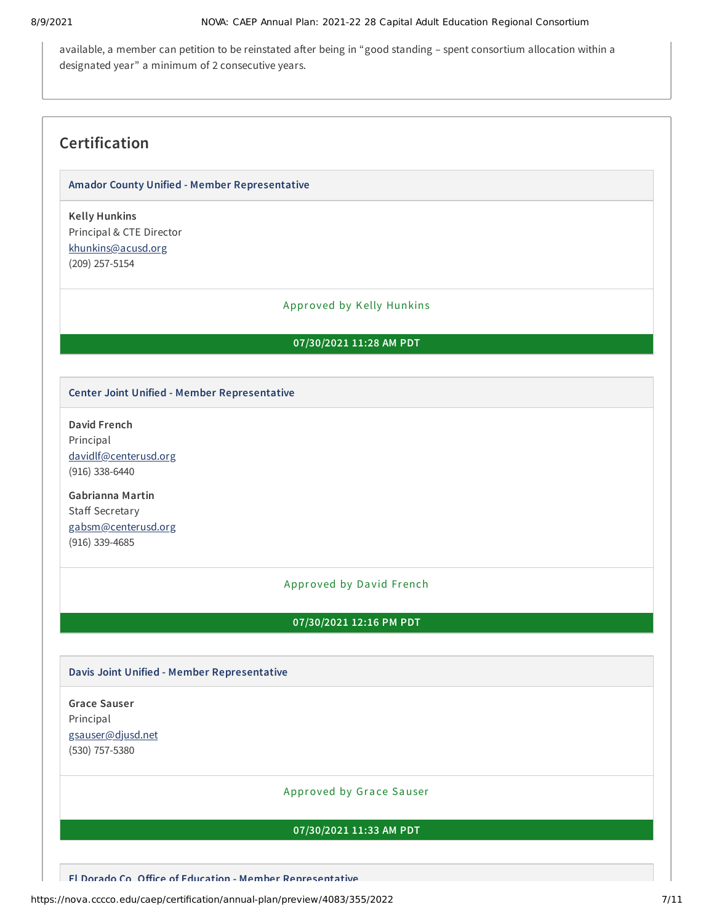available, a member can petition to be reinstated after being in "good standing – spent consortium allocation within a designated year" a minimum of 2 consecutive years.

## **Certification**

#### **Amador County Unified - Member Representative**

**Kelly Hunkins** Principal & CTE Director [khunkins@acusd.org](mailto:khunkins@acusd.org) (209) 257-5154

#### Approved by Kelly Hunkins

### **07/30/2021 11:28 AM PDT**

#### **Center Joint Unified - Member Representative**

**David French** Principal [davidlf@centerusd.org](mailto:davidlf@centerusd.org) (916) 338-6440

**Gabrianna Martin** Staff Secretary [gabsm@centerusd.org](mailto:gabsm@centerusd.org) (916) 339-4685

#### Approved by David French

## **07/30/2021 12:16 PM PDT**

#### **Davis Joint Unified - Member Representative**

**Grace Sauser** Principal [gsauser@djusd.net](mailto:gsauser@djusd.net) (530) 757-5380

#### Approved by Grace Sauser

#### **07/30/2021 11:33 AM PDT**

**El Dorado Co Office of Education - Member Representative**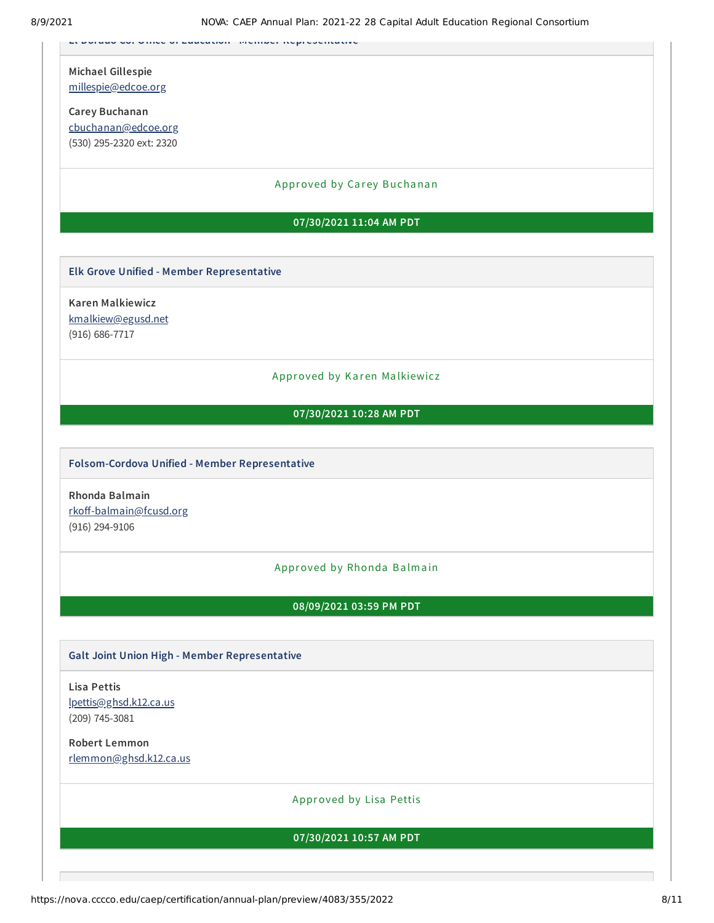**El Dorado Co. Office of Education Member Representative**

**Michael Gillespie** [millespie@edcoe.org](mailto:millespie@edcoe.org)

**Carey Buchanan** [cbuchanan@edcoe.org](mailto:cbuchanan@edcoe.org) (530) 295-2320 ext: 2320

Approved by Carey Buchanan

#### **07/30/2021 11:04 AM PDT**

#### **Elk Grove Unified - Member Representative**

**Karen Malkiewicz** [kmalkiew@egusd.net](mailto:kmalkiew@egusd.net) (916) 686-7717

#### Approved by Karen Malkiewicz

#### **07/30/2021 10:28 AM PDT**

#### **Folsom-Cordova Unified - Member Representative**

**Rhonda Balmain** [rkoff-balmain@fcusd.org](mailto:rkoff-balmain@fcusd.org) (916) 294-9106

#### Approved by Rhonda Balmain

**08/09/2021 03:59 PM PDT**

#### **Galt Joint Union High - Member Representative**

**Lisa Pettis** [lpettis@ghsd.k12.ca.us](mailto:lpettis@ghsd.k12.ca.us) (209) 745-3081

**Robert Lemmon** [rlemmon@ghsd.k12.ca.us](mailto:rlemmon@ghsd.k12.ca.us)

Approved by Lisa Pettis

#### **07/30/2021 10:57 AM PDT**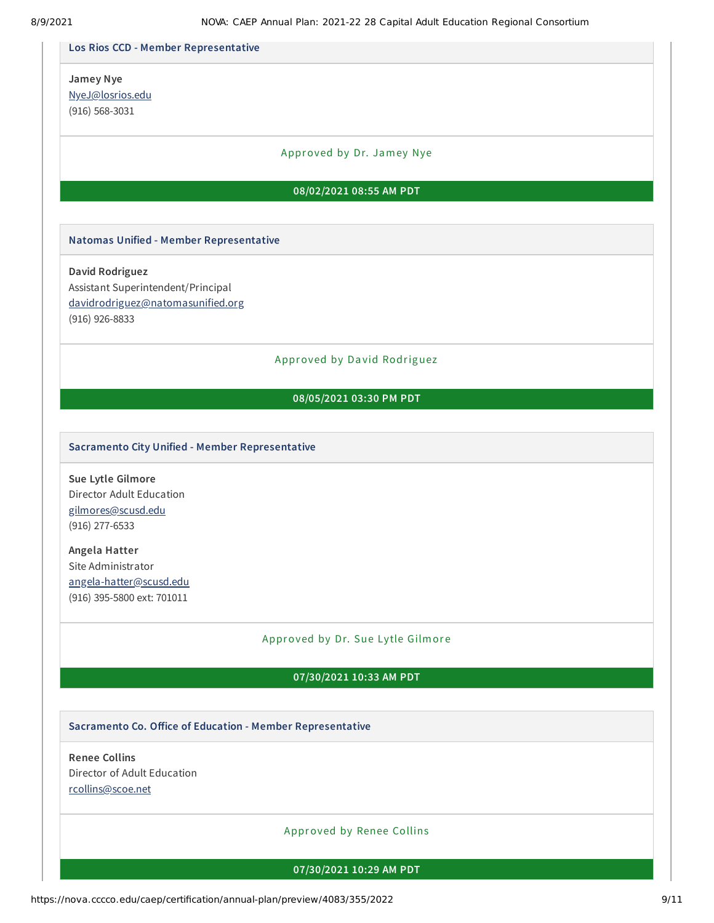8/9/2021 NOVA: CAEP Annual Plan: 2021-22 28 Capital Adult Education Regional Consortium **Los Rios CCD - Member Representative Jamey Nye** [NyeJ@losrios.edu](mailto:NyeJ@losrios.edu) (916) 568-3031 Approved by Dr. Jamey Nye **Natomas Unified - Member Representative David Rodriguez** Assistant Superintendent/Principal [davidrodriguez@natomasunified.org](mailto:davidrodriguez@natomasunified.org) (916) 926-8833 Approved by Da vid Rodriguez **Sacramento City Unified - Member Representative Sue Lytle Gilmore** Director Adult Education [gilmores@scusd.edu](mailto:gilmores@scusd.edu) (916) 277-6533 **Angela Hatter** Site Administrator [angela-hatter@scusd.edu](mailto:angela-hatter@scusd.edu) (916) 395-5800 ext: 701011 Approved by Dr. Sue Lytle Gilmore **Sacramento Co. Office of Education - Member Representative Renee Collins** Director of Adult Education [rcollins@scoe.net](mailto:rcollins@scoe.net) Approved by Renee Collins **08/02/2021 08:55 AM PDT 08/05/2021 03:30 PM PDT 07/30/2021 10:33 AM PDT 07/30/2021 10:29 AM PDT**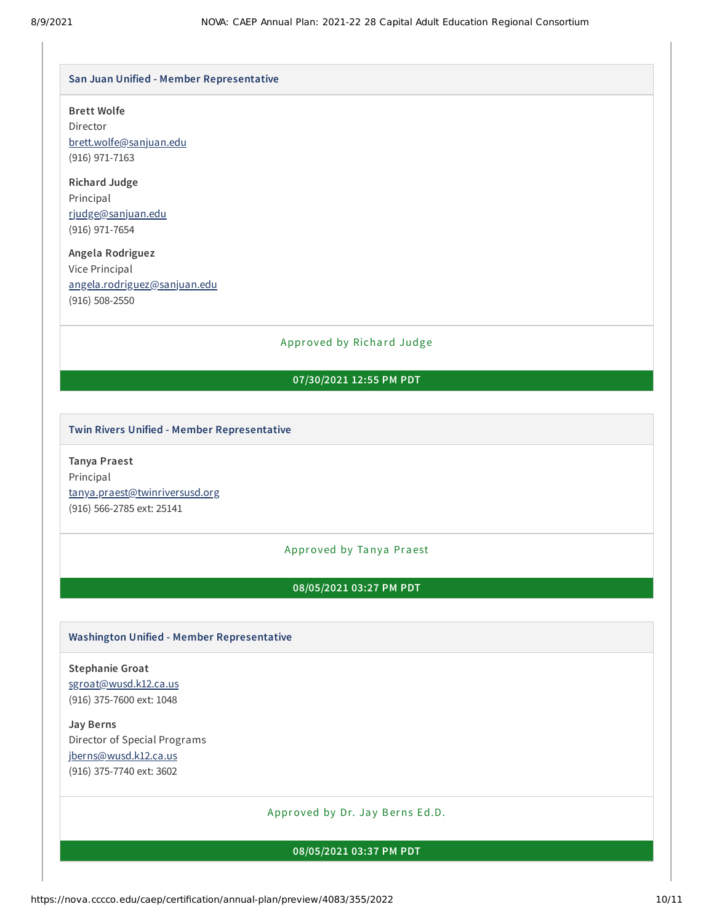#### **San Juan Unified - Member Representative**

#### **Brett Wolfe**

Director [brett.wolfe@sanjuan.edu](mailto:brett.wolfe@sanjuan.edu) (916) 971-7163

## **Richard Judge** Principal [rjudge@sanjuan.edu](mailto:rjudge@sanjuan.edu) (916) 971-7654

## **Angela Rodriguez** Vice Principal [angela.rodriguez@sanjuan.edu](mailto:angela.rodriguez@sanjuan.edu) (916) 508-2550

### Approved by Richard Judge

## **07/30/2021 12:55 PM PDT**

#### **Twin Rivers Unified - Member Representative**

**Tanya Praest** Principal [tanya.praest@twinriversusd.org](mailto:tanya.praest@twinriversusd.org) (916) 566-2785 ext: 25141

#### Approved by Tanya Praest

#### **08/05/2021 03:27 PM PDT**

#### **Washington Unified - Member Representative**

**Stephanie Groat** [sgroat@wusd.k12.ca.us](mailto:sgroat@wusd.k12.ca.us) (916) 375-7600 ext: 1048

**Jay Berns** Director of Special Programs [jberns@wusd.k12.ca.us](mailto:jberns@wusd.k12.ca.us) (916) 375-7740 ext: 3602

#### Approved by Dr. Jay Berns Ed.D.

## **08/05/2021 03:37 PM PDT**